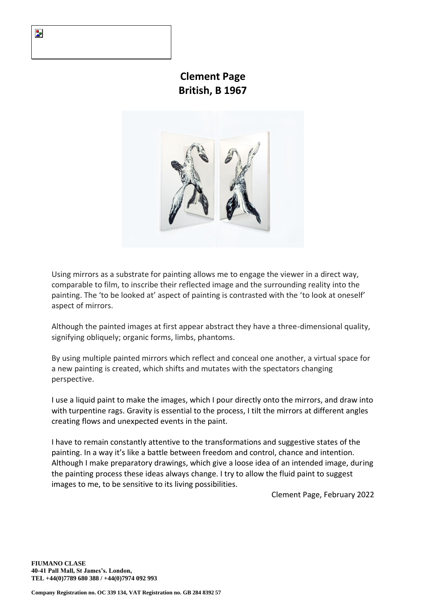

### **Clement Page British, B 1967**



Using mirrors as a substrate for painting allows me to engage the viewer in a direct way, comparable to film, to inscribe their reflected image and the surrounding reality into the painting. The 'to be looked at' aspect of painting is contrasted with the 'to look at oneself' aspect of mirrors.

Although the painted images at first appear abstract they have a three-dimensional quality, signifying obliquely; organic forms, limbs, phantoms.

By using multiple painted mirrors which reflect and conceal one another, a virtual space for a new painting is created, which shifts and mutates with the spectators changing perspective.

I use a liquid paint to make the images, which I pour directly onto the mirrors, and draw into with turpentine rags. Gravity is essential to the process, I tilt the mirrors at different angles creating flows and unexpected events in the paint.

I have to remain constantly attentive to the transformations and suggestive states of the painting. In a way it's like a battle between freedom and control, chance and intention. Although I make preparatory drawings, which give a loose idea of an intended image, during the painting process these ideas always change. I try to allow the fluid paint to suggest images to me, to be sensitive to its living possibilities.

Clement Page, February 2022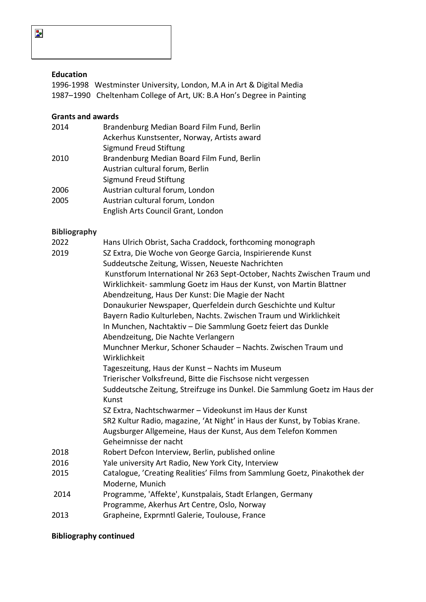## $\overline{\mathbf{z}}$

#### **Education**

1996-1998 Westminster University, London, M.A in Art & Digital Media 1987–1990 Cheltenham College of Art, UK: B.A Hon's Degree in Painting

#### **Grants and awards**

| 2014 | Brandenburg Median Board Film Fund, Berlin  |
|------|---------------------------------------------|
|      | Ackerhus Kunstsenter, Norway, Artists award |
|      | Sigmund Freud Stiftung                      |
| 2010 | Brandenburg Median Board Film Fund, Berlin  |
|      | Austrian cultural forum, Berlin             |
|      | Sigmund Freud Stiftung                      |
| 2006 | Austrian cultural forum, London             |
| 2005 | Austrian cultural forum, London             |
|      | English Arts Council Grant, London          |

#### **Bibliography**

| 2022 | Hans Ulrich Obrist, Sacha Craddock, forthcoming monograph                  |
|------|----------------------------------------------------------------------------|
| 2019 | SZ Extra, Die Woche von George Garcia, Inspirierende Kunst                 |
|      | Suddeutsche Zeitung, Wissen, Neueste Nachrichten                           |
|      | Kunstforum International Nr 263 Sept-October, Nachts Zwischen Traum und    |
|      | Wirklichkeit- sammlung Goetz im Haus der Kunst, von Martin Blattner        |
|      | Abendzeitung, Haus Der Kunst: Die Magie der Nacht                          |
|      | Donaukurier Newspaper, Querfeldein durch Geschichte und Kultur             |
|      | Bayern Radio Kulturleben, Nachts. Zwischen Traum und Wirklichkeit          |
|      | In Munchen, Nachtaktiv - Die Sammlung Goetz feiert das Dunkle              |
|      | Abendzeitung, Die Nachte Verlangern                                        |
|      | Munchner Merkur, Schoner Schauder - Nachts. Zwischen Traum und             |
|      | Wirklichkeit                                                               |
|      | Tageszeitung, Haus der Kunst - Nachts im Museum                            |
|      | Trierischer Volksfreund, Bitte die Fischsose nicht vergessen               |
|      | Suddeutsche Zeitung, Streifzuge ins Dunkel. Die Sammlung Goetz im Haus der |
|      | Kunst                                                                      |
|      | SZ Extra, Nachtschwarmer - Videokunst im Haus der Kunst                    |
|      | SR2 Kultur Radio, magazine, 'At Night' in Haus der Kunst, by Tobias Krane. |
|      | Augsburger Allgemeine, Haus der Kunst, Aus dem Telefon Kommen              |
|      | Geheimnisse der nacht                                                      |
| 2018 | Robert Defcon Interview, Berlin, published online                          |
| 2016 | Yale university Art Radio, New York City, Interview                        |
| 2015 | Catalogue, 'Creating Realities' Films from Sammlung Goetz, Pinakothek der  |
|      | Moderne, Munich                                                            |
| 2014 | Programme, 'Affekte', Kunstpalais, Stadt Erlangen, Germany                 |
|      | Programme, Akerhus Art Centre, Oslo, Norway                                |
| 2013 | Grapheine, Exprmntl Galerie, Toulouse, France                              |

#### **Bibliography continued**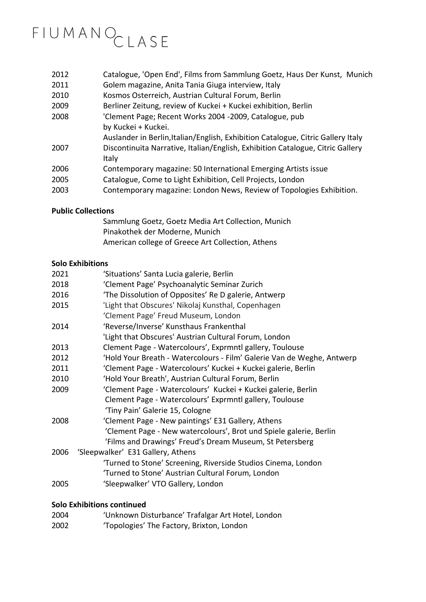### FIUMANOCLASE

- 2012 Catalogue, 'Open End', Films from Sammlung Goetz, Haus Der Kunst, Munich
- 2011 Golem magazine, Anita Tania Giuga interview, Italy
- 2010 Kosmos Osterreich, Austrian Cultural Forum, Berlin
- 2009 Berliner Zeitung, review of Kuckei + Kuckei exhibition, Berlin
- 2008 'Clement Page; Recent Works 2004 -2009, Catalogue, pub by Kuckei + Kuckei.
- Auslander in Berlin, Italian/English, Exhibition Catalogue, Citric Gallery Italy 2007 Discontinuita Narrative, Italian/English, Exhibition Catalogue, Citric Gallery Italy
- 2006 Contemporary magazine: 50 International Emerging Artists issue
- 2005 Catalogue, Come to Light Exhibition, Cell Projects, London
- 2003 Contemporary magazine: London News, Review of Topologies Exhibition.

#### **Public Collections**

| Sammlung Goetz, Goetz Media Art Collection, Munich |
|----------------------------------------------------|
| Pinakothek der Moderne, Munich                     |
| American college of Greece Art Collection, Athens  |

#### **Solo Exhibitions**

| 2021 | 'Situations' Santa Lucia galerie, Berlin                               |
|------|------------------------------------------------------------------------|
| 2018 | 'Clement Page' Psychoanalytic Seminar Zurich                           |
| 2016 | 'The Dissolution of Opposites' Re D galerie, Antwerp                   |
| 2015 | 'Light that Obscures' Nikolaj Kunsthal, Copenhagen                     |
|      | 'Clement Page' Freud Museum, London                                    |
| 2014 | 'Reverse/Inverse' Kunsthaus Frankenthal                                |
|      | 'Light that Obscures' Austrian Cultural Forum, London                  |
| 2013 | Clement Page - Watercolours', Exprmntl gallery, Toulouse               |
| 2012 | 'Hold Your Breath - Watercolours - Film' Galerie Van de Weghe, Antwerp |
| 2011 | 'Clement Page - Watercolours' Kuckei + Kuckei galerie, Berlin          |
| 2010 | 'Hold Your Breath', Austrian Cultural Forum, Berlin                    |
| 2009 | 'Clement Page - Watercolours' Kuckei + Kuckei galerie, Berlin          |
|      | Clement Page - Watercolours' Exprmntl gallery, Toulouse                |
|      | 'Tiny Pain' Galerie 15, Cologne                                        |
| 2008 | 'Clement Page - New paintings' E31 Gallery, Athens                     |
|      | 'Clement Page - New watercolours', Brot und Spiele galerie, Berlin     |
|      | 'Films and Drawings' Freud's Dream Museum, St Petersberg               |
| 2006 | 'Sleepwalker' E31 Gallery, Athens                                      |
|      | 'Turned to Stone' Screening, Riverside Studios Cinema, London          |
|      | 'Turned to Stone' Austrian Cultural Forum, London                      |
| 2005 | 'Sleepwalker' VTO Gallery, London                                      |
|      |                                                                        |

#### **Solo Exhibitions continued**

- 2004 'Unknown Disturbance' Trafalgar Art Hotel, London
- 2002 'Topologies' The Factory, Brixton, London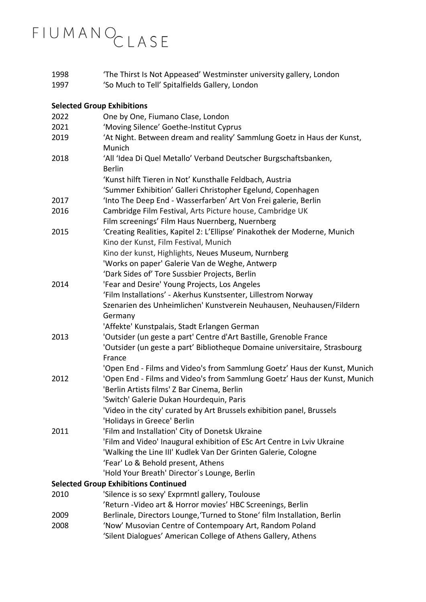## FIUMANOCLASE

- 1998 'The Thirst Is Not Appeased' Westminster university gallery, London
- 1997 'So Much to Tell' Spitalfields Gallery, London

#### **Selected Group Exhibitions**

| 2022 | One by One, Fiumano Clase, London                                          |
|------|----------------------------------------------------------------------------|
| 2021 | 'Moving Silence' Goethe-Institut Cyprus                                    |
| 2019 | 'At Night. Between dream and reality' Sammlung Goetz in Haus der Kunst,    |
|      | Munich                                                                     |
| 2018 | 'All 'Idea Di Quel Metallo' Verband Deutscher Burgschaftsbanken,           |
|      | <b>Berlin</b>                                                              |
|      | 'Kunst hilft Tieren in Not' Kunsthalle Feldbach, Austria                   |
|      | 'Summer Exhibition' Galleri Christopher Egelund, Copenhagen                |
| 2017 | 'Into The Deep End - Wasserfarben' Art Von Frei galerie, Berlin            |
| 2016 | Cambridge Film Festival, Arts Picture house, Cambridge UK                  |
|      | Film screenings' Film Haus Nuernberg, Nuernberg                            |
| 2015 | 'Creating Realities, Kapitel 2: L'Ellipse' Pinakothek der Moderne, Munich  |
|      | Kino der Kunst, Film Festival, Munich                                      |
|      | Kino der kunst, Highlights, Neues Museum, Nurnberg                         |
|      | 'Works on paper' Galerie Van de Weghe, Antwerp                             |
|      | 'Dark Sides of' Tore Sussbier Projects, Berlin                             |
| 2014 | 'Fear and Desire' Young Projects, Los Angeles                              |
|      | 'Film Installations' - Akerhus Kunstsenter, Lillestrom Norway              |
|      | Szenarien des Unheimlichen' Kunstverein Neuhausen, Neuhausen/Fildern       |
|      | Germany                                                                    |
|      | 'Affekte' Kunstpalais, Stadt Erlangen German                               |
| 2013 | 'Outsider (un geste a part' Centre d'Art Bastille, Grenoble France         |
|      | 'Outsider (un geste a part' Bibliotheque Domaine universitaire, Strasbourg |
|      | France                                                                     |
|      | 'Open End - Films and Video's from Sammlung Goetz' Haus der Kunst, Munich  |
| 2012 | 'Open End - Films and Video's from Sammlung Goetz' Haus der Kunst, Munich  |
|      | 'Berlin Artists films' Z Bar Cinema, Berlin                                |
|      | 'Switch' Galerie Dukan Hourdequin, Paris                                   |
|      | 'Video in the city' curated by Art Brussels exhibition panel, Brussels     |
|      | 'Holidays in Greece' Berlin                                                |
| 2011 | 'Film and Installation' City of Donetsk Ukraine                            |
|      | 'Film and Video' Inaugural exhibition of ESc Art Centre in Lviv Ukraine    |
|      | 'Walking the Line III' Kudlek Van Der Grinten Galerie, Cologne             |
|      | 'Fear' Lo & Behold present, Athens                                         |
|      | 'Hold Your Breath' Director's Lounge, Berlin                               |
|      | <b>Selected Group Exhibitions Continued</b>                                |
| 2010 | 'Silence is so sexy' Exprmntl gallery, Toulouse                            |
|      | 'Return - Video art & Horror movies' HBC Screenings, Berlin                |
| 2009 | Berlinale, Directors Lounge, 'Turned to Stone' film Installation, Berlin   |
| 2008 | 'Now' Musovian Centre of Contempoary Art, Random Poland                    |
|      | 'Silent Dialogues' American College of Athens Gallery, Athens              |